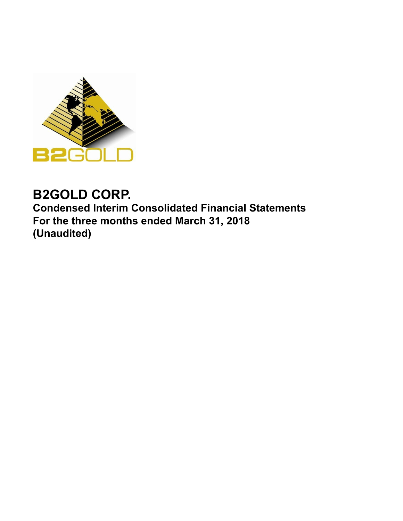

# **B2GOLD CORP.**

**Condensed Interim Consolidated Financial Statements For the three months ended March 31, 2018 (Unaudited)**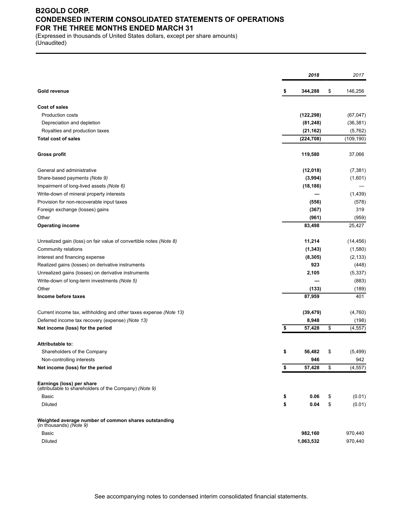### **B2GOLD CORP. CONDENSED INTERIM CONSOLIDATED STATEMENTS OF OPERATIONS FOR THE THREE MONTHS ENDED MARCH 31**

(Expressed in thousands of United States dollars, except per share amounts) (Unaudited)

|                                                                                     | 2018                | 2017       |
|-------------------------------------------------------------------------------------|---------------------|------------|
| Gold revenue                                                                        | \$<br>344,288<br>\$ | 146,256    |
| <b>Cost of sales</b>                                                                |                     |            |
| Production costs                                                                    | (122, 298)          | (67, 047)  |
| Depreciation and depletion                                                          | (81, 248)           | (36, 381)  |
| Royalties and production taxes                                                      | (21, 162)           | (5, 762)   |
| <b>Total cost of sales</b>                                                          | (224, 708)          | (109, 190) |
| <b>Gross profit</b>                                                                 | 119,580             | 37,066     |
|                                                                                     |                     |            |
| General and administrative                                                          | (12,018)            | (7, 381)   |
| Share-based payments (Note 9)                                                       | (3,994)             | (1,601)    |
| Impairment of long-lived assets (Note 6)                                            | (18, 186)           |            |
| Write-down of mineral property interests                                            |                     | (1,439)    |
| Provision for non-recoverable input taxes                                           | (556)               | (578)      |
| Foreign exchange (losses) gains                                                     | (367)               | 319        |
| Other                                                                               | (961)               | (959)      |
| <b>Operating income</b>                                                             | 83,498              | 25,427     |
| Unrealized gain (loss) on fair value of convertible notes (Note 8)                  | 11,214              | (14, 456)  |
| Community relations                                                                 | (1, 343)            | (1,580)    |
| Interest and financing expense                                                      | (8, 305)            | (2, 133)   |
| Realized gains (losses) on derivative instruments                                   | 923                 | (448)      |
| Unrealized gains (losses) on derivative instruments                                 | 2,105               | (5, 337)   |
| Write-down of long-term investments (Note 5)                                        |                     | (883)      |
| Other                                                                               | (133)               | (189)      |
| Income before taxes                                                                 | 87,959              | 401        |
| Current income tax, withholding and other taxes expense (Note 13)                   | (39, 479)           | (4,760)    |
| Deferred income tax recovery (expense) (Note 13)                                    | 8,948               | (198)      |
| Net income (loss) for the period                                                    | \$<br>57,428<br>\$  | (4, 557)   |
| Attributable to:                                                                    |                     |            |
| Shareholders of the Company                                                         | \$<br>56,482<br>\$  | (5, 499)   |
| Non-controlling interests                                                           | 946                 | 942        |
| Net income (loss) for the period                                                    | \$<br>57,428<br>\$  | (4, 557)   |
| Earnings (loss) per share<br>(attributable to shareholders of the Company) (Note 9) |                     |            |
| Basic                                                                               | \$<br>0.06<br>\$    | (0.01)     |
| Diluted                                                                             | \$<br>\$<br>0.04    | (0.01)     |
| Weighted average number of common shares outstanding<br>(in thousands) (Note 9)     |                     |            |
| Basic                                                                               | 982,160             | 970,440    |
| Diluted                                                                             | 1,063,532           | 970,440    |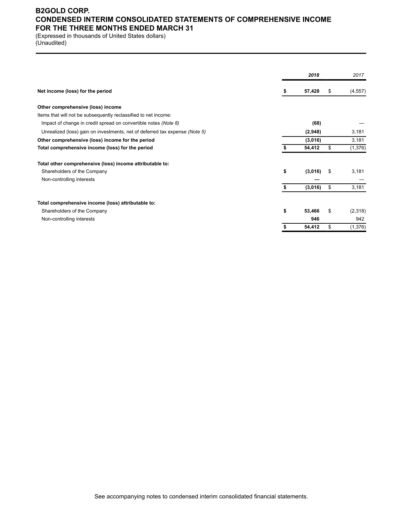### **B2GOLD CORP. CONDENSED INTERIM CONSOLIDATED STATEMENTS OF COMPREHENSIVE INCOME FOR THE THREE MONTHS ENDED MARCH 31**

(Expressed in thousands of United States dollars) (Unaudited)

|                                                                             |    | 2018    | 2017           |
|-----------------------------------------------------------------------------|----|---------|----------------|
| Net income (loss) for the period                                            |    | 57,428  | \$<br>(4, 557) |
| Other comprehensive (loss) income                                           |    |         |                |
| Items that will not be subsequently reclassified to net income:             |    |         |                |
| Impact of change in credit spread on convertible notes (Note 8)             |    | (68)    |                |
| Unrealized (loss) gain on investments, net of deferred tax expense (Note 5) |    | (2,948) | 3,181          |
| Other comprehensive (loss) income for the period                            |    | (3,016) | 3,181          |
| Total comprehensive income (loss) for the period                            |    | 54,412  | \$<br>(1,376)  |
| Total other comprehensive (loss) income attributable to:                    |    |         |                |
| Shareholders of the Company                                                 | \$ | (3,016) | \$<br>3,181    |
| Non-controlling interests                                                   |    |         |                |
|                                                                             | S  | (3,016) | \$<br>3,181    |
| Total comprehensive income (loss) attributable to:                          |    |         |                |
| Shareholders of the Company                                                 | \$ | 53,466  | \$<br>(2,318)  |
| Non-controlling interests                                                   |    | 946     | 942            |
|                                                                             |    | 54,412  | \$<br>(1,376)  |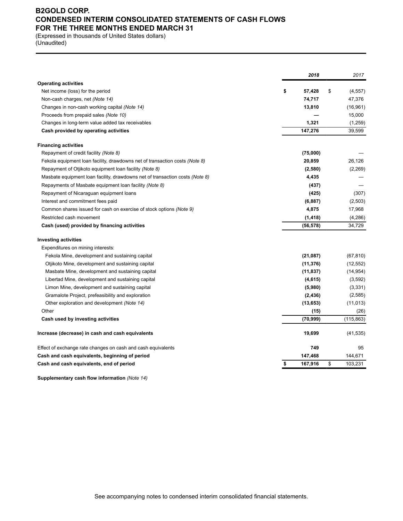### **B2GOLD CORP. CONDENSED INTERIM CONSOLIDATED STATEMENTS OF CASH FLOWS FOR THE THREE MONTHS ENDED MARCH 31**

(Expressed in thousands of United States dollars) (Unaudited)

|                                                                              | 2018          | 2017           |
|------------------------------------------------------------------------------|---------------|----------------|
| <b>Operating activities</b>                                                  |               |                |
| Net income (loss) for the period                                             | \$<br>57,428  | \$<br>(4, 557) |
| Non-cash charges, net (Note 14)                                              | 74,717        | 47,376         |
| Changes in non-cash working capital (Note 14)                                | 13,810        | (16, 961)      |
| Proceeds from prepaid sales (Note 10)                                        |               | 15,000         |
| Changes in long-term value added tax receivables                             | 1,321         | (1,259)        |
| Cash provided by operating activities                                        | 147,276       | 39,599         |
| <b>Financing activities</b>                                                  |               |                |
| Repayment of credit facility (Note 8)                                        | (75,000)      |                |
| Fekola equipment loan facility, drawdowns net of transaction costs (Note 8)  | 20,859        | 26,126         |
| Repayment of Otjikoto equipment loan facility (Note 8)                       | (2,580)       | (2,269)        |
| Masbate equipment loan facility, drawdowns net of transaction costs (Note 8) | 4,435         |                |
| Repayments of Masbate equipment loan facility (Note 8)                       | (437)         |                |
| Repayment of Nicaraguan equipment loans                                      | (425)         | (307)          |
| Interest and commitment fees paid                                            | (6, 887)      | (2,503)        |
| Common shares issued for cash on exercise of stock options (Note 9)          | 4,875         | 17,968         |
| Restricted cash movement                                                     | (1, 418)      | (4, 286)       |
| Cash (used) provided by financing activities                                 | (56, 578)     | 34,729         |
| <b>Investing activities</b>                                                  |               |                |
| Expenditures on mining interests:                                            |               |                |
| Fekola Mine, development and sustaining capital                              | (21, 087)     | (67, 810)      |
| Otjikoto Mine, development and sustaining capital                            | (11, 376)     | (12, 552)      |
| Masbate Mine, development and sustaining capital                             | (11, 837)     | (14, 954)      |
| Libertad Mine, development and sustaining capital                            | (4, 615)      | (3,592)        |
| Limon Mine, development and sustaining capital                               | (5,980)       | (3,331)        |
| Gramalote Project, prefeasibility and exploration                            | (2, 436)      | (2,585)        |
| Other exploration and development (Note 14)                                  | (13, 653)     | (11, 013)      |
| Other                                                                        | (15)          | (26)           |
| Cash used by investing activities                                            | (70, 999)     | (115, 863)     |
| Increase (decrease) in cash and cash equivalents                             | 19,699        | (41, 535)      |
| Effect of exchange rate changes on cash and cash equivalents                 | 749           | 95             |
| Cash and cash equivalents, beginning of period                               | 147,468       | 144,671        |
| Cash and cash equivalents, end of period                                     | \$<br>167,916 | \$<br>103,231  |

**Supplementary cash flow information** *(Note 14)*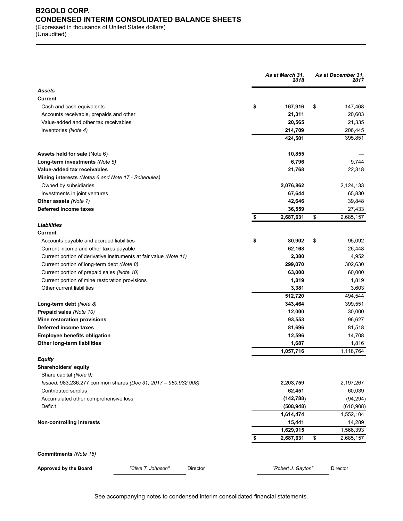### **B2GOLD CORP. CONDENSED INTERIM CONSOLIDATED BALANCE SHEETS** (Expressed in thousands of United States dollars)

(Unaudited)

|                                                                   | As at March 31,<br>2018 | As at December 31,<br>2017 |
|-------------------------------------------------------------------|-------------------------|----------------------------|
| <b>Assets</b>                                                     |                         |                            |
| Current                                                           |                         |                            |
| Cash and cash equivalents                                         | \$<br>167,916           | \$<br>147,468              |
| Accounts receivable, prepaids and other                           | 21,311                  | 20,603                     |
| Value-added and other tax receivables                             | 20,565                  | 21,335                     |
| Inventories (Note 4)                                              | 214,709                 | 206,445                    |
|                                                                   | 424,501                 | 395,851                    |
| Assets held for sale (Note 6)                                     | 10,855                  |                            |
| Long-term investments (Note 5)                                    | 6,796                   | 9,744                      |
| Value-added tax receivables                                       | 21,768                  | 22,318                     |
| <b>Mining interests (Notes 6 and Note 17 - Schedules)</b>         |                         |                            |
| Owned by subsidiaries                                             | 2,076,862               | 2,124,133                  |
| Investments in joint ventures                                     | 67,644                  | 65,830                     |
| Other assets (Note 7)                                             | 42,646                  | 39,848                     |
| Deferred income taxes                                             | 36,559                  | 27,433                     |
|                                                                   | 2,687,631<br>\$         | \$<br>2,685,157            |
| <b>Liabilities</b>                                                |                         |                            |
| Current                                                           |                         |                            |
| Accounts payable and accrued liabilities                          | 80,902<br>\$            | \$<br>95,092               |
| Current income and other taxes payable                            | 62,168                  | 26,448                     |
| Current portion of derivative instruments at fair value (Note 11) | 2,380                   | 4,952                      |
| Current portion of long-term debt (Note 8)                        | 299,070                 | 302,630                    |
| Current portion of prepaid sales (Note 10)                        | 63,000                  | 60,000                     |
| Current portion of mine restoration provisions                    | 1,819                   | 1,819                      |
| Other current liabilities                                         | 3,381                   | 3,603                      |
|                                                                   | 512,720                 | 494,544                    |
| Long-term debt (Note 8)                                           | 343,464                 | 399,551                    |
| Prepaid sales (Note 10)                                           | 12,000                  | 30,000                     |
| Mine restoration provisions                                       | 93,553                  | 96,627                     |
| Deferred income taxes                                             | 81,696                  | 81,518                     |
| <b>Employee benefits obligation</b>                               | 12,596                  | 14,708                     |
| Other long-term liabilities                                       | 1,687                   | 1,816                      |
|                                                                   | 1,057,716               | 1,118,764                  |
| Equity                                                            |                         |                            |
| Shareholders' equity                                              |                         |                            |
| Share capital (Note 9)                                            |                         |                            |
| Issued: 983,236,277 common shares (Dec 31, 2017 - 980,932,908)    | 2,203,759               | 2,197,267                  |
| Contributed surplus                                               | 62,451                  | 60,039                     |
| Accumulated other comprehensive loss                              | (142, 788)              | (94, 294)                  |
| Deficit                                                           | (508, 948)              | (610,908)                  |
|                                                                   | 1,614,474               | 1,552,104                  |
| Non-controlling interests                                         | 15,441                  | 14,289                     |
|                                                                   | 1,629,915               | 1,566,393                  |
|                                                                   | 2,687,631<br>\$         | \$<br>2,685,157            |
| Commitments (Note 16)                                             |                         |                            |
| "Clive T. Johnson"<br>Director                                    |                         |                            |
| Approved by the Board                                             | "Robert J. Gayton"      | Director                   |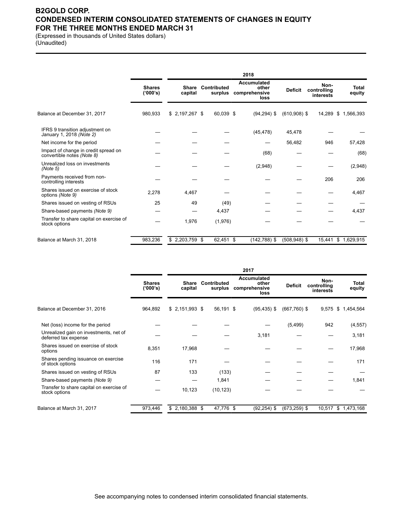### **B2GOLD CORP. CONDENSED INTERIM CONSOLIDATED STATEMENTS OF CHANGES IN EQUITY FOR THE THREE MONTHS ENDED MARCH 31**

(Expressed in thousands of United States dollars) (Unaudited)

|                                                                    |                           |                         |                        | 2018                                                 |                 |                                  |                 |
|--------------------------------------------------------------------|---------------------------|-------------------------|------------------------|------------------------------------------------------|-----------------|----------------------------------|-----------------|
|                                                                    | <b>Shares</b><br>('000's) | <b>Share</b><br>capital | Contributed<br>surplus | <b>Accumulated</b><br>other<br>comprehensive<br>loss | <b>Deficit</b>  | Non-<br>controlling<br>interests | Total<br>equity |
| Balance at December 31, 2017                                       | 980,933                   | $$2,197,267$ \$         | 60,039 \$              | $(94, 294)$ \$                                       | $(610,908)$ \$  | 14,289                           | \$1,566,393     |
| IFRS 9 transition adjustment on<br>January 1, 2018 (Note 2)        |                           |                         |                        | (45, 478)                                            | 45,478          |                                  |                 |
| Net income for the period                                          |                           |                         |                        |                                                      | 56,482          | 946                              | 57,428          |
| Impact of change in credit spread on<br>convertible notes (Note 8) |                           |                         |                        | (68)                                                 |                 |                                  | (68)            |
| Unrealized loss on investments<br>(Note 5)                         |                           |                         |                        | (2,948)                                              |                 |                                  | (2,948)         |
| Payments received from non-<br>controlling interests               |                           |                         |                        |                                                      |                 | 206                              | 206             |
| Shares issued on exercise of stock<br>options (Note 9)             | 2,278                     | 4,467                   |                        |                                                      |                 |                                  | 4,467           |
| Shares issued on vesting of RSUs                                   | 25                        | 49                      | (49)                   |                                                      |                 |                                  |                 |
| Share-based payments (Note 9)                                      |                           |                         | 4,437                  |                                                      |                 |                                  | 4,437           |
| Transfer to share capital on exercise of<br>stock options          |                           | 1,976                   | (1,976)                |                                                      |                 |                                  |                 |
| Balance at March 31, 2018                                          | 983,236                   | $$2,203,759$ \$         | 62,451 \$              | $(142, 788)$ \$                                      | $(508, 948)$ \$ | 15,441                           | \$1,629,915     |

|                                                                |                           |                         |                        | 2017                                          |                 |                                  |                     |
|----------------------------------------------------------------|---------------------------|-------------------------|------------------------|-----------------------------------------------|-----------------|----------------------------------|---------------------|
|                                                                | <b>Shares</b><br>('000's) | <b>Share</b><br>capital | Contributed<br>surplus | Accumulated<br>other<br>comprehensive<br>loss | <b>Deficit</b>  | Non-<br>controlling<br>interests | Total<br>equity     |
| Balance at December 31, 2016                                   | 964,892                   | $$2,151,993$ \$         | 56,191 \$              | $(95, 435)$ \$                                | $(667,760)$ \$  | 9,575                            | \$1,454,564         |
| Net (loss) income for the period                               |                           |                         |                        |                                               | (5, 499)        | 942                              | (4, 557)            |
| Unrealized gain on investments, net of<br>deferred tax expense |                           |                         |                        | 3,181                                         |                 |                                  | 3,181               |
| Shares issued on exercise of stock<br>options                  | 8,351                     | 17,968                  |                        |                                               |                 |                                  | 17,968              |
| Shares pending issuance on exercise<br>of stock options        | 116                       | 171                     |                        |                                               |                 |                                  | 171                 |
| Shares issued on vesting of RSUs                               | 87                        | 133                     | (133)                  |                                               |                 |                                  |                     |
| Share-based payments (Note 9)                                  |                           |                         | 1,841                  |                                               |                 |                                  | 1,841               |
| Transfer to share capital on exercise of<br>stock options      |                           | 10,123                  | (10, 123)              |                                               |                 |                                  |                     |
| Balance at March 31, 2017                                      | 973,446                   | $$2,180,388$ \$         | 47,776 \$              | $(92, 254)$ \$                                | $(673, 259)$ \$ |                                  | 10,517 \$ 1,473,168 |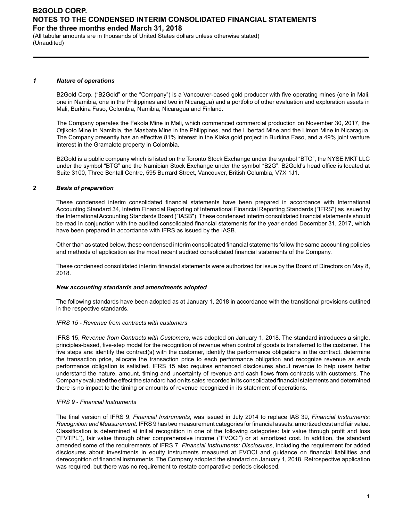(All tabular amounts are in thousands of United States dollars unless otherwise stated) (Unaudited)

#### *1 Nature of operations*

B2Gold Corp. ("B2Gold" or the "Company") is a Vancouver-based gold producer with five operating mines (one in Mali, one in Namibia, one in the Philippines and two in Nicaragua) and a portfolio of other evaluation and exploration assets in Mali, Burkina Faso, Colombia, Namibia, Nicaragua and Finland.

The Company operates the Fekola Mine in Mali, which commenced commercial production on November 30, 2017, the Otjikoto Mine in Namibia, the Masbate Mine in the Philippines, and the Libertad Mine and the Limon Mine in Nicaragua. The Company presently has an effective 81% interest in the Kiaka gold project in Burkina Faso, and a 49% joint venture interest in the Gramalote property in Colombia.

B2Gold is a public company which is listed on the Toronto Stock Exchange under the symbol "BTO", the NYSE MKT LLC under the symbol "BTG" and the Namibian Stock Exchange under the symbol "B2G". B2Gold's head office is located at Suite 3100, Three Bentall Centre, 595 Burrard Street, Vancouver, British Columbia, V7X 1J1.

#### *2 Basis of preparation*

These condensed interim consolidated financial statements have been prepared in accordance with International Accounting Standard 34, Interim Financial Reporting of International Financial Reporting Standards ("IFRS") as issued by the International Accounting Standards Board ("IASB"). These condensed interim consolidated financial statements should be read in conjunction with the audited consolidated financial statements for the year ended December 31, 2017, which have been prepared in accordance with IFRS as issued by the IASB.

Other than as stated below, these condensed interim consolidated financial statements follow the same accounting policies and methods of application as the most recent audited consolidated financial statements of the Company.

These condensed consolidated interim financial statements were authorized for issue by the Board of Directors on May 8, 2018.

#### *New accounting standards and amendments adopted*

The following standards have been adopted as at January 1, 2018 in accordance with the transitional provisions outlined in the respective standards.

#### *IFRS 15 - Revenue from contracts with customers*

IFRS 15, *Revenue from Contracts with Customers*, was adopted on January 1, 2018. The standard introduces a single, principles-based, five-step model for the recognition of revenue when control of goods is transferred to the customer. The five steps are: identify the contract(s) with the customer, identify the performance obligations in the contract, determine the transaction price, allocate the transaction price to each performance obligation and recognize revenue as each performance obligation is satisfied. IFRS 15 also requires enhanced disclosures about revenue to help users better understand the nature, amount, timing and uncertainty of revenue and cash flows from contracts with customers. The Company evaluated the effect the standard had on its sales recorded in its consolidated financial statements and determined there is no impact to the timing or amounts of revenue recognized in its statement of operations.

#### *IFRS 9 - Financial Instruments*

The final version of IFRS 9, *Financial Instruments*, was issued in July 2014 to replace IAS 39, *Financial Instruments: Recognition and Measurement*. IFRS 9 has two measurement categories for financial assets: amortized cost and fair value. Classification is determined at initial recognition in one of the following categories: fair value through profit and loss ("FVTPL"), fair value through other comprehensive income ("FVOCI") or at amortized cost. In addition, the standard amended some of the requirements of IFRS 7, *Financial Instruments: Disclosures*, including the requirement for added disclosures about investments in equity instruments measured at FVOCI and guidance on financial liabilities and derecognition of financial instruments. The Company adopted the standard on January 1, 2018. Retrospective application was required, but there was no requirement to restate comparative periods disclosed.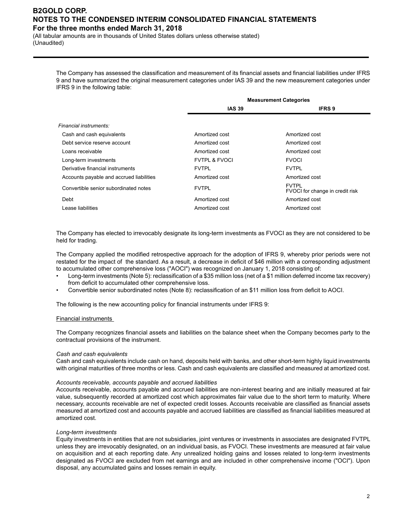(All tabular amounts are in thousands of United States dollars unless otherwise stated) (Unaudited)

> The Company has assessed the classification and measurement of its financial assets and financial liabilities under IFRS 9 and have summarized the original measurement categories under IAS 39 and the new measurement categories under IFRS 9 in the following table:

| <b>Measurement Categories</b> |                                                 |  |
|-------------------------------|-------------------------------------------------|--|
| <b>IAS 39</b>                 | <b>IFRS 9</b>                                   |  |
|                               |                                                 |  |
|                               |                                                 |  |
| Amortized cost                | Amortized cost                                  |  |
| Amortized cost                | Amortized cost                                  |  |
| Amortized cost                | Amortized cost                                  |  |
| <b>FVTPL &amp; FVOCI</b>      | <b>FVOCI</b>                                    |  |
| <b>FVTPI</b>                  | <b>FVTPL</b>                                    |  |
| Amortized cost                | Amortized cost                                  |  |
| <b>FVTPL</b>                  | <b>FVTPL</b><br>FVOCI for change in credit risk |  |
| Amortized cost                | Amortized cost                                  |  |
| Amortized cost                | Amortized cost                                  |  |
|                               |                                                 |  |

The Company has elected to irrevocably designate its long-term investments as FVOCI as they are not considered to be held for trading.

The Company applied the modified retrospective approach for the adoption of IFRS 9, whereby prior periods were not restated for the impact of the standard. As a result, a decrease in deficit of \$46 million with a corresponding adjustment to accumulated other comprehensive loss ("AOCI") was recognized on January 1, 2018 consisting of:

- Long-term investments (Note 5): reclassification of a \$35 million loss (net of a \$1 million deferred income tax recovery) from deficit to accumulated other comprehensive loss.
- Convertible senior subordinated notes (Note 8): reclassification of an \$11 million loss from deficit to AOCI.

The following is the new accounting policy for financial instruments under IFRS 9:

#### Financial instruments

The Company recognizes financial assets and liabilities on the balance sheet when the Company becomes party to the contractual provisions of the instrument.

#### *Cash and cash equivalents*

Cash and cash equivalents include cash on hand, deposits held with banks, and other short-term highly liquid investments with original maturities of three months or less. Cash and cash equivalents are classified and measured at amortized cost.

#### *Accounts receivable, accounts payable and accrued liabilities*

Accounts receivable, accounts payable and accrued liabilities are non-interest bearing and are initially measured at fair value, subsequently recorded at amortized cost which approximates fair value due to the short term to maturity. Where necessary, accounts receivable are net of expected credit losses. Accounts receivable are classified as financial assets measured at amortized cost and accounts payable and accrued liabilities are classified as financial liabilities measured at amortized cost.

#### *Long-term investments*

Equity investments in entities that are not subsidiaries, joint ventures or investments in associates are designated FVTPL unless they are irrevocably designated, on an individual basis, as FVOCI. These investments are measured at fair value on acquisition and at each reporting date. Any unrealized holding gains and losses related to long-term investments designated as FVOCI are excluded from net earnings and are included in other comprehensive income ("OCI"). Upon disposal, any accumulated gains and losses remain in equity.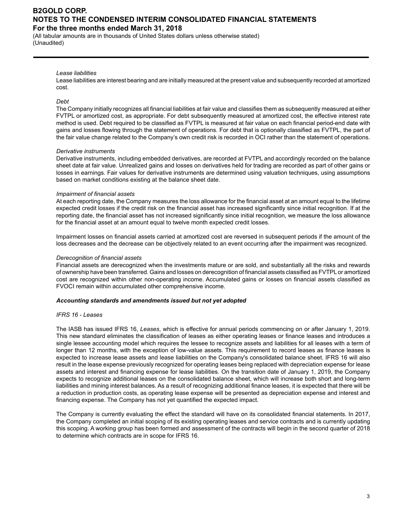(All tabular amounts are in thousands of United States dollars unless otherwise stated) (Unaudited)

#### *Lease liabilities*

Lease liabilities are interest bearing and are initially measured at the present value and subsequently recorded at amortized cost.

#### *Debt*

The Company initially recognizes all financial liabilities at fair value and classifies them as subsequently measured at either FVTPL or amortized cost, as appropriate. For debt subsequently measured at amortized cost, the effective interest rate method is used. Debt required to be classified as FVTPL is measured at fair value on each financial period-end date with gains and losses flowing through the statement of operations. For debt that is optionally classified as FVTPL, the part of the fair value change related to the Company's own credit risk is recorded in OCI rather than the statement of operations.

#### *Derivative instruments*

Derivative instruments, including embedded derivatives, are recorded at FVTPL and accordingly recorded on the balance sheet date at fair value. Unrealized gains and losses on derivatives held for trading are recorded as part of other gains or losses in earnings. Fair values for derivative instruments are determined using valuation techniques, using assumptions based on market conditions existing at the balance sheet date.

#### *Impairment of financial assets*

At each reporting date, the Company measures the loss allowance for the financial asset at an amount equal to the lifetime expected credit losses if the credit risk on the financial asset has increased significantly since initial recognition. If at the reporting date, the financial asset has not increased significantly since initial recognition, we measure the loss allowance for the financial asset at an amount equal to twelve month expected credit losses.

Impairment losses on financial assets carried at amortized cost are reversed in subsequent periods if the amount of the loss decreases and the decrease can be objectively related to an event occurring after the impairment was recognized.

#### *Derecognition of financial assets*

Financial assets are derecognized when the investments mature or are sold, and substantially all the risks and rewards of ownership have been transferred. Gains and losses on derecognition of financial assets classified as FVTPLor amortized cost are recognized within other non-operating income. Accumulated gains or losses on financial assets classified as FVOCI remain within accumulated other comprehensive income.

#### *Accounting standards and amendments issued but not yet adopted*

#### *IFRS 16 - Leases*

The IASB has issued IFRS 16, *Leases*, which is effective for annual periods commencing on or after January 1, 2019. This new standard eliminates the classification of leases as either operating leases or finance leases and introduces a single lessee accounting model which requires the lessee to recognize assets and liabilities for all leases with a term of longer than 12 months, with the exception of low-value assets. This requirement to record leases as finance leases is expected to increase lease assets and lease liabilities on the Company's consolidated balance sheet. IFRS 16 will also result in the lease expense previously recognized for operating leases being replaced with depreciation expense for lease assets and interest and financing expense for lease liabilities. On the transition date of January 1, 2019, the Company expects to recognize additional leases on the consolidated balance sheet, which will increase both short and long-term liabilities and mining interest balances. As a result of recognizing additional finance leases, it is expected that there will be a reduction in production costs, as operating lease expense will be presented as depreciation expense and interest and financing expense. The Company has not yet quantified the expected impact.

The Company is currently evaluating the effect the standard will have on its consolidated financial statements. In 2017, the Company completed an initial scoping of its existing operating leases and service contracts and is currently updating this scoping. A working group has been formed and assessment of the contracts will begin in the second quarter of 2018 to determine which contracts are in scope for IFRS 16.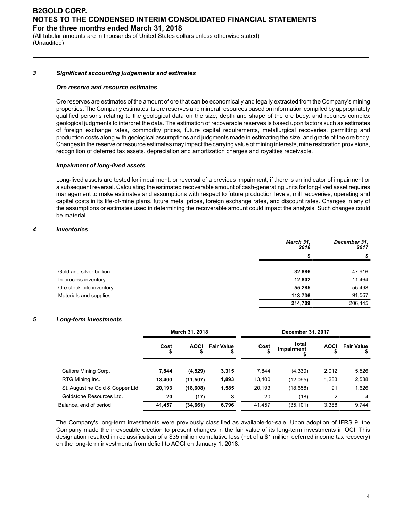(All tabular amounts are in thousands of United States dollars unless otherwise stated) (Unaudited)

#### *3 Significant accounting judgements and estimates*

#### *Ore reserve and resource estimates*

Ore reserves are estimates of the amount of ore that can be economically and legally extracted from the Company's mining properties. The Company estimates its ore reserves and mineral resources based on information compiled by appropriately qualified persons relating to the geological data on the size, depth and shape of the ore body, and requires complex geological judgments to interpret the data. The estimation of recoverable reserves is based upon factors such as estimates of foreign exchange rates, commodity prices, future capital requirements, metallurgical recoveries, permitting and production costs along with geological assumptions and judgments made in estimating the size, and grade of the ore body. Changes in the reserve or resource estimates may impact the carrying value of mining interests, mine restoration provisions, recognition of deferred tax assets, depreciation and amortization charges and royalties receivable.

#### *Impairment of long-lived assets*

Long-lived assets are tested for impairment, or reversal of a previous impairment, if there is an indicator of impairment or a subsequent reversal. Calculating the estimated recoverable amount of cash-generating units for long-lived asset requires management to make estimates and assumptions with respect to future production levels, mill recoveries, operating and capital costs in its life-of-mine plans, future metal prices, foreign exchange rates, and discount rates. Changes in any of the assumptions or estimates used in determining the recoverable amount could impact the analysis. Such changes could be material.

#### *4 Inventories*

|                          | March 31,<br>2018 | December 31,<br>2017 |
|--------------------------|-------------------|----------------------|
|                          | \$                | \$                   |
| Gold and silver bullion  | 32,886            | 47,916               |
| In-process inventory     | 12,802            | 11,464               |
| Ore stock-pile inventory | 55,285            | 55,498               |
| Materials and supplies   | 113,736           | 91,567               |
|                          | 214,709           | 206.445              |

#### *5 Long-term investments*

|                                  | March 31, 2018 |             |                         | December 31, 2017 |                            |             |                   |
|----------------------------------|----------------|-------------|-------------------------|-------------------|----------------------------|-------------|-------------------|
|                                  | Cost           | <b>AOCI</b> | <b>Fair Value</b><br>\$ | Cost<br>\$        | <b>Total</b><br>Impairment | <b>AOCI</b> | <b>Fair Value</b> |
| Calibre Mining Corp.             | 7.844          | (4,529)     | 3,315                   | 7.844             | (4,330)                    | 2,012       | 5,526             |
| RTG Mining Inc.                  | 13,400         | (11, 507)   | 1,893                   | 13,400            | (12,095)                   | 1,283       | 2,588             |
| St. Augustine Gold & Copper Ltd. | 20,193         | (18,608)    | 1,585                   | 20,193            | (18, 658)                  | 91          | 1,626             |
| Goldstone Resources Ltd.         | 20             | (17)        | 3                       | 20                | (18)                       | 2           | 4                 |
| Balance, end of period           | 41,457         | (34, 661)   | 6,796                   | 41,457            | (35, 101)                  | 3,388       | 9.744             |

The Company's long-term investments were previously classified as available-for-sale. Upon adoption of IFRS 9, the Company made the irrevocable election to present changes in the fair value of its long-term investments in OCI. This designation resulted in reclassification of a \$35 million cumulative loss (net of a \$1 million deferred income tax recovery) on the long-term investments from deficit to AOCI on January 1, 2018.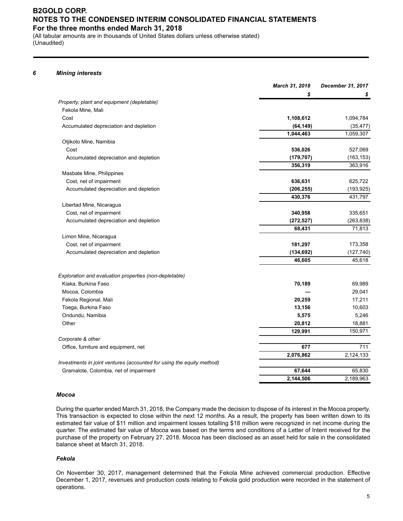(All tabular amounts are in thousands of United States dollars unless otherwise stated) (Unaudited)

#### *6 Mining interests*

|                                                                       | March 31, 2018 | December 31, 2017 |
|-----------------------------------------------------------------------|----------------|-------------------|
|                                                                       | \$             | \$                |
| Property, plant and equipment (depletable)                            |                |                   |
| Fekola Mine, Mali                                                     |                |                   |
| Cost                                                                  | 1,108,612      | 1,094,784         |
| Accumulated depreciation and depletion                                | (64, 149)      | (35, 477)         |
|                                                                       | 1,044,463      | 1,059,307         |
| Otjikoto Mine, Namibia                                                |                |                   |
| Cost                                                                  | 536,026        | 527,069           |
| Accumulated depreciation and depletion                                | (179, 707)     | (163, 153)        |
|                                                                       | 356,319        | 363,916           |
| Masbate Mine, Philippines                                             |                |                   |
| Cost, net of impairment                                               | 636,631        | 625,722           |
| Accumulated depreciation and depletion                                | (206, 255)     | (193, 925)        |
|                                                                       | 430,376        | 431,797           |
| Libertad Mine, Nicaragua                                              |                |                   |
| Cost, net of impairment                                               | 340,958        | 335,651           |
| Accumulated depreciation and depletion                                | (272, 527)     | (263, 838)        |
|                                                                       | 68,431         | 71,813            |
| Limon Mine, Nicaragua                                                 |                |                   |
| Cost, net of impairment                                               | 181,297        | 173,358           |
| Accumulated depreciation and depletion                                | (134, 692)     | (127, 740)        |
|                                                                       | 46,605         | 45,618            |
| Exploration and evaluation properties (non-depletable)                |                |                   |
| Kiaka, Burkina Faso                                                   | 70,189         | 69,989            |
| Mocoa, Colombia                                                       |                | 29,041            |
| Fekola Regional, Mali                                                 | 20,259         | 17,211            |
| Toega, Burkina Faso                                                   | 13,156         | 10,603            |
| Ondundu, Namibia                                                      | 5,575          | 5,246             |
| Other                                                                 | 20,812         | 18,881            |
|                                                                       | 129,991        | 150,971           |
| Corporate & other                                                     |                |                   |
| Office, furniture and equipment, net                                  | 677            | 711               |
|                                                                       | 2,076,862      | 2,124,133         |
| Investments in joint ventures (accounted for using the equity method) |                |                   |
| Gramalote, Colombia, net of impairment                                | 67,644         | 65,830            |
|                                                                       | 2,144,506      | 2,189,963         |

#### *Mocoa*

During the quarter ended March 31, 2018, the Company made the decision to dispose of its interest in the Mocoa property. This transaction is expected to close within the next 12 months. As a result, the property has been written down to its estimated fair value of \$11 million and impairment losses totalling \$18 million were recognized in net income during the quarter. The estimated fair value of Mocoa was based on the terms and conditions of a Letter of Intent received for the purchase of the property on February 27, 2018. Mocoa has been disclosed as an asset held for sale in the consolidated balance sheet at March 31, 2018.

#### *Fekola*

On November 30, 2017, management determined that the Fekola Mine achieved commercial production. Effective December 1, 2017, revenues and production costs relating to Fekola gold production were recorded in the statement of operations.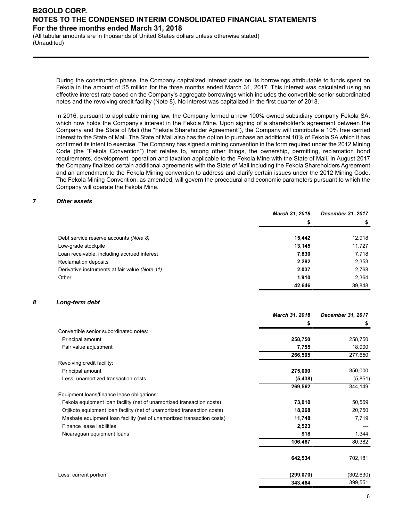(All tabular amounts are in thousands of United States dollars unless otherwise stated) (Unaudited)

> During the construction phase, the Company capitalized interest costs on its borrowings attributable to funds spent on Fekola in the amount of \$5 million for the three months ended March 31, 2017. This interest was calculated using an effective interest rate based on the Company's aggregate borrowings which includes the convertible senior subordinated notes and the revolving credit facility (Note 8). No interest was capitalized in the first quarter of 2018.

> In 2016, pursuant to applicable mining law, the Company formed a new 100% owned subsidiary company Fekola SA, which now holds the Company's interest in the Fekola Mine. Upon signing of a shareholder's agreement between the Company and the State of Mali (the "Fekola Shareholder Agreement"), the Company will contribute a 10% free carried interest to the State of Mali. The State of Mali also has the option to purchase an additional 10% of Fekola SA which it has confirmed its intent to exercise. The Company has signed a mining convention in the form required under the 2012 Mining Code (the "Fekola Convention") that relates to, among other things, the ownership, permitting, reclamation bond requirements, development, operation and taxation applicable to the Fekola Mine with the State of Mali. In August 2017 the Company finalized certain additional agreements with the State of Mali including the Fekola Shareholders Agreement and an amendment to the Fekola Mining convention to address and clarify certain issues under the 2012 Mining Code. The Fekola Mining Convention, as amended, will govern the procedural and economic parameters pursuant to which the Company will operate the Fekola Mine.

#### *7 Other assets*

|                                                | <b>March 31, 2018</b> | December 31, 2017 |
|------------------------------------------------|-----------------------|-------------------|
|                                                | S                     |                   |
| Debt service reserve accounts (Note 8)         | 15.442                | 12,918            |
| Low-grade stockpile                            | 13,145                | 11,727            |
| Loan receivable, including accrued interest    | 7,830                 | 7,718             |
| <b>Reclamation deposits</b>                    | 2,282                 | 2,353             |
| Derivative instruments at fair value (Note 11) | 2,037                 | 2,768             |
| Other                                          | 1,910                 | 2,364             |
|                                                | 42,646                | 39,848            |

#### *8 Long-term debt*

|                                                                         | March 31, 2018 | December 31, 2017 |
|-------------------------------------------------------------------------|----------------|-------------------|
|                                                                         | \$             | \$                |
| Convertible senior subordinated notes:                                  |                |                   |
| Principal amount                                                        | 258,750        | 258,750           |
| Fair value adjustment                                                   | 7,755          | 18,900            |
|                                                                         | 266,505        | 277,650           |
| Revolving credit facility:                                              |                |                   |
| Principal amount                                                        | 275,000        | 350,000           |
| Less: unamortized transaction costs                                     | (5, 438)       | (5, 851)          |
|                                                                         | 269,562        | 344,149           |
| Equipment loans/finance lease obligations:                              |                |                   |
| Fekola equipment loan facility (net of unamortized transaction costs)   | 73,010         | 50,569            |
| Otjikoto equipment loan facility (net of unamortized transaction costs) | 18,268         | 20,750            |
| Masbate equipment loan facility (net of unamortized transaction costs)  | 11,748         | 7,719             |
| Finance lease liabilities                                               | 2,523          |                   |
| Nicaraguan equipment loans                                              | 918            | 1,344             |
|                                                                         | 106,467        | 80,382            |
|                                                                         | 642,534        | 702,181           |
| Less: current portion                                                   | (299,070)      | (302,630)         |
|                                                                         | 343,464        | 399,551           |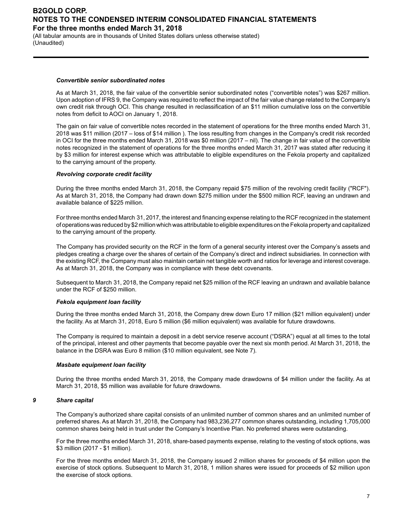(All tabular amounts are in thousands of United States dollars unless otherwise stated) (Unaudited)

#### *Convertible senior subordinated notes*

As at March 31, 2018, the fair value of the convertible senior subordinated notes ("convertible notes") was \$267 million. Upon adoption of IFRS 9, the Company was required to reflect the impact of the fair value change related to the Company's own credit risk through OCI. This change resulted in reclassification of an \$11 million cumulative loss on the convertible notes from deficit to AOCI on January 1, 2018.

The gain on fair value of convertible notes recorded in the statement of operations for the three months ended March 31, 2018 was \$11 million (2017 – loss of \$14 million ). The loss resulting from changes in the Company's credit risk recorded in OCI for the three months ended March 31, 2018 was \$0 million (2017 – nil). The change in fair value of the convertible notes recognized in the statement of operations for the three months ended March 31, 2017 was stated after reducing it by \$3 million for interest expense which was attributable to eligible expenditures on the Fekola property and capitalized to the carrying amount of the property.

#### *Revolving corporate credit facility*

During the three months ended March 31, 2018, the Company repaid \$75 million of the revolving credit facility ("RCF"). As at March 31, 2018, the Company had drawn down \$275 million under the \$500 million RCF, leaving an undrawn and available balance of \$225 million.

For three months ended March 31, 2017, the interest and financing expense relating to the RCF recognized in the statement of operations was reduced by \$2 million which was attributable to eligible expenditures on the Fekola property and capitalized to the carrying amount of the property.

The Company has provided security on the RCF in the form of a general security interest over the Company's assets and pledges creating a charge over the shares of certain of the Company's direct and indirect subsidiaries. In connection with the existing RCF, the Company must also maintain certain net tangible worth and ratios for leverage and interest coverage. As at March 31, 2018, the Company was in compliance with these debt covenants.

Subsequent to March 31, 2018, the Company repaid net \$25 million of the RCF leaving an undrawn and available balance under the RCF of \$250 million.

#### *Fekola equipment loan facility*

During the three months ended March 31, 2018, the Company drew down Euro 17 million (\$21 million equivalent) under the facility. As at March 31, 2018, Euro 5 million (\$6 million equivalent) was available for future drawdowns.

The Company is required to maintain a deposit in a debt service reserve account ("DSRA") equal at all times to the total of the principal, interest and other payments that become payable over the next six month period. At March 31, 2018, the balance in the DSRA was Euro 8 million (\$10 million equivalent, see Note 7).

#### *Masbate equipment loan facility*

During the three months ended March 31, 2018, the Company made drawdowns of \$4 million under the facility. As at March 31, 2018, \$5 million was available for future drawdowns.

#### *9 Share capital*

The Company's authorized share capital consists of an unlimited number of common shares and an unlimited number of preferred shares. As at March 31, 2018, the Company had 983,236,277 common shares outstanding, including 1,705,000 common shares being held in trust under the Company's Incentive Plan. No preferred shares were outstanding.

For the three months ended March 31, 2018, share-based payments expense, relating to the vesting of stock options, was \$3 million (2017 - \$1 million).

For the three months ended March 31, 2018, the Company issued 2 million shares for proceeds of \$4 million upon the exercise of stock options. Subsequent to March 31, 2018, 1 million shares were issued for proceeds of \$2 million upon the exercise of stock options.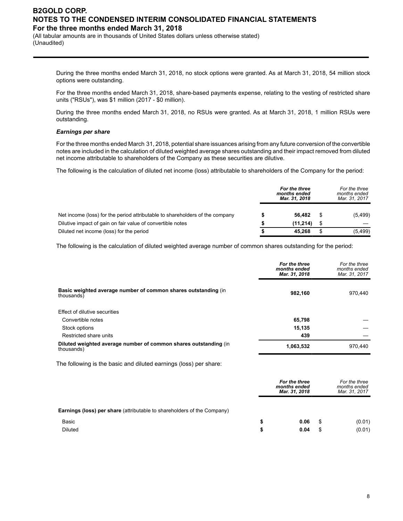(All tabular amounts are in thousands of United States dollars unless otherwise stated) (Unaudited)

> During the three months ended March 31, 2018, no stock options were granted. As at March 31, 2018, 54 million stock options were outstanding.

> For the three months ended March 31, 2018, share-based payments expense, relating to the vesting of restricted share units ("RSUs"), was \$1 million (2017 - \$0 million).

> During the three months ended March 31, 2018, no RSUs were granted. As at March 31, 2018, 1 million RSUs were outstanding.

#### *Earnings per share*

For the three months ended March 31, 2018, potential share issuances arising from any future conversion of the convertible notes are included in the calculation of diluted weighted average shares outstanding and their impact removed from diluted net income attributable to shareholders of the Company as these securities are dilutive.

The following is the calculation of diluted net income (loss) attributable to shareholders of the Company for the period:

|                                                                              | For the three<br>months ended<br>Mar. 31, 2018 | For the three<br>months ended<br>Mar. 31, 2017 |
|------------------------------------------------------------------------------|------------------------------------------------|------------------------------------------------|
| Net income (loss) for the period attributable to shareholders of the company | 56.482                                         | (5, 499)                                       |
| Dilutive impact of gain on fair value of convertible notes                   | (11.214)                                       |                                                |
| Diluted net income (loss) for the period                                     | 45.268                                         | (5, 499)                                       |

The following is the calculation of diluted weighted average number of common shares outstanding for the period:

|                                                                                | For the three<br>months ended<br>Mar. 31, 2018 | For the three<br>months ended<br>Mar. 31, 2017 |
|--------------------------------------------------------------------------------|------------------------------------------------|------------------------------------------------|
| Basic weighted average number of common shares outstanding (in<br>thousands    | 982,160                                        | 970.440                                        |
| Effect of dilutive securities                                                  |                                                |                                                |
| Convertible notes                                                              | 65,798                                         |                                                |
| Stock options                                                                  | 15,135                                         |                                                |
| Restricted share units                                                         | 439                                            |                                                |
| Diluted weighted average number of common shares outstanding (in<br>thousands) | 1,063,532                                      | 970.440                                        |
|                                                                                |                                                |                                                |

The following is the basic and diluted earnings (loss) per share:

|                                                                                |    | For the three<br>months ended<br>Mar. 31, 2018 |      | For the three<br>months ended<br>Mar. 31, 2017 |
|--------------------------------------------------------------------------------|----|------------------------------------------------|------|------------------------------------------------|
| <b>Earnings (loss) per share</b> (attributable to shareholders of the Company) |    |                                                |      |                                                |
| Basic                                                                          | S  | 0.06                                           | - 35 | (0.01)                                         |
| <b>Diluted</b>                                                                 | \$ | 0.04                                           | - 35 | (0.01)                                         |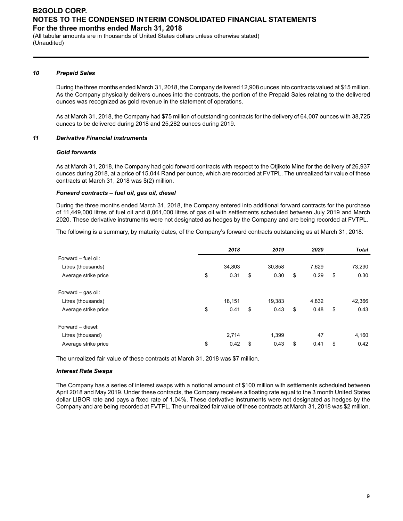(All tabular amounts are in thousands of United States dollars unless otherwise stated) (Unaudited)

#### *10 Prepaid Sales*

During the three months ended March 31, 2018, the Company delivered 12,908 ounces into contracts valued at \$15 million. As the Company physically delivers ounces into the contracts, the portion of the Prepaid Sales relating to the delivered ounces was recognized as gold revenue in the statement of operations.

As at March 31, 2018, the Company had \$75 million of outstanding contracts for the delivery of 64,007 ounces with 38,725 ounces to be delivered during 2018 and 25,282 ounces during 2019.

#### *11 Derivative Financial instruments*

#### *Gold forwards*

As at March 31, 2018, the Company had gold forward contracts with respect to the Otjikoto Mine for the delivery of 26,937 ounces during 2018, at a price of 15,044 Rand per ounce, which are recorded at FVTPL. The unrealized fair value of these contracts at March 31, 2018 was \$(2) million.

#### *Forward contracts – fuel oil, gas oil, diesel*

During the three months ended March 31, 2018, the Company entered into additional forward contracts for the purchase of 11,449,000 litres of fuel oil and 8,061,000 litres of gas oil with settlements scheduled between July 2019 and March 2020. These derivative instruments were not designated as hedges by the Company and are being recorded at FVTPL.

The following is a summary, by maturity dates, of the Company's forward contracts outstanding as at March 31, 2018:

|                      | 2018       | 2019       | 2020       | Total      |
|----------------------|------------|------------|------------|------------|
| Forward - fuel oil:  |            |            |            |            |
| Litres (thousands)   | 34,803     | 30,858     | 7,629      | 73,290     |
| Average strike price | \$<br>0.31 | \$<br>0.30 | \$<br>0.29 | \$<br>0.30 |
| Forward – gas oil:   |            |            |            |            |
| Litres (thousands)   | 18,151     | 19,383     | 4,832      | 42,366     |
| Average strike price | \$<br>0.41 | \$<br>0.43 | \$<br>0.48 | \$<br>0.43 |
| Forward - diesel:    |            |            |            |            |
| Litres (thousand)    | 2,714      | 1,399      | 47         | 4,160      |
| Average strike price | \$<br>0.42 | \$<br>0.43 | \$<br>0.41 | \$<br>0.42 |

The unrealized fair value of these contracts at March 31, 2018 was \$7 million.

#### *Interest Rate Swaps*

The Company has a series of interest swaps with a notional amount of \$100 million with settlements scheduled between April 2018 and May 2019. Under these contracts, the Company receives a floating rate equal to the 3 month United States dollar LIBOR rate and pays a fixed rate of 1.04%. These derivative instruments were not designated as hedges by the Company and are being recorded at FVTPL. The unrealized fair value of these contracts at March 31, 2018 was \$2 million.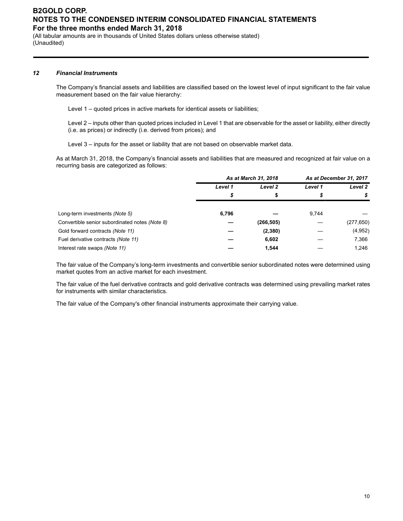(All tabular amounts are in thousands of United States dollars unless otherwise stated) (Unaudited)

#### *12 Financial Instruments*

The Company's financial assets and liabilities are classified based on the lowest level of input significant to the fair value measurement based on the fair value hierarchy:

Level 1 – quoted prices in active markets for identical assets or liabilities;

Level 2 – inputs other than quoted prices included in Level 1 that are observable for the asset or liability, either directly (i.e. as prices) or indirectly (i.e. derived from prices); and

Level 3 – inputs for the asset or liability that are not based on observable market data.

As at March 31, 2018, the Company's financial assets and liabilities that are measured and recognized at fair value on a recurring basis are categorized as follows:

|                                                | As at March 31, 2018 |            | As at December 31, 2017 |            |
|------------------------------------------------|----------------------|------------|-------------------------|------------|
|                                                | Level 1              | Level 2    | Level 1                 | Level 2    |
|                                                | S                    | ъ          |                         | S          |
| Long-term investments (Note 5)                 | 6,796                |            | 9.744                   |            |
| Convertible senior subordinated notes (Note 8) |                      | (266, 505) |                         | (277, 650) |
| Gold forward contracts (Note 11)               |                      | (2,380)    |                         | (4,952)    |
| Fuel derivative contracts (Note 11)            |                      | 6,602      |                         | 7,366      |
| Interest rate swaps (Note 11)                  |                      | 1.544      |                         | 1,246      |

The fair value of the Company's long-term investments and convertible senior subordinated notes were determined using market quotes from an active market for each investment.

The fair value of the fuel derivative contracts and gold derivative contracts was determined using prevailing market rates for instruments with similar characteristics.

The fair value of the Company's other financial instruments approximate their carrying value.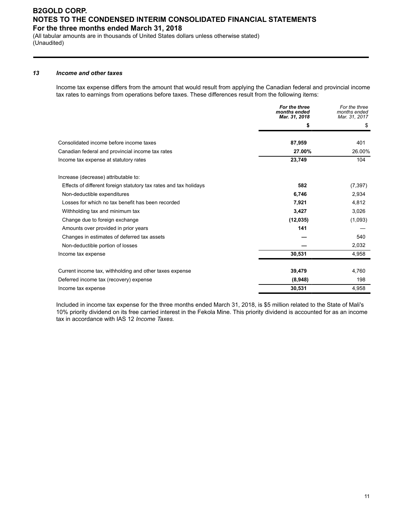(All tabular amounts are in thousands of United States dollars unless otherwise stated) (Unaudited)

#### *13 Income and other taxes*

Income tax expense differs from the amount that would result from applying the Canadian federal and provincial income tax rates to earnings from operations before taxes. These differences result from the following items:

|                                                                   | For the three<br>months ended<br>Mar. 31, 2018 | For the three<br>months ended<br>Mar. 31, 2017 |
|-------------------------------------------------------------------|------------------------------------------------|------------------------------------------------|
|                                                                   | \$                                             | S                                              |
| Consolidated income before income taxes                           | 87,959                                         | 401                                            |
| Canadian federal and provincial income tax rates                  | 27.00%                                         | 26.00%                                         |
| Income tax expense at statutory rates                             | 23,749                                         | 104                                            |
| Increase (decrease) attributable to:                              |                                                |                                                |
| Effects of different foreign statutory tax rates and tax holidays | 582                                            | (7, 397)                                       |
| Non-deductible expenditures                                       | 6,746                                          | 2,934                                          |
| Losses for which no tax benefit has been recorded                 | 7,921                                          | 4,812                                          |
| Withholding tax and minimum tax                                   | 3,427                                          | 3,026                                          |
| Change due to foreign exchange                                    | (12, 035)                                      | (1,093)                                        |
| Amounts over provided in prior years                              | 141                                            |                                                |
| Changes in estimates of deferred tax assets                       |                                                | 540                                            |
| Non-deductible portion of losses                                  |                                                | 2,032                                          |
| Income tax expense                                                | 30,531                                         | 4,958                                          |
| Current income tax, withholding and other taxes expense           | 39,479                                         | 4,760                                          |
| Deferred income tax (recovery) expense                            | (8,948)                                        | 198                                            |
| Income tax expense                                                | 30,531                                         | 4,958                                          |

Included in income tax expense for the three months ended March 31, 2018, is \$5 million related to the State of Mali's 10% priority dividend on its free carried interest in the Fekola Mine. This priority dividend is accounted for as an income tax in accordance with IAS 12 *Income Taxes.*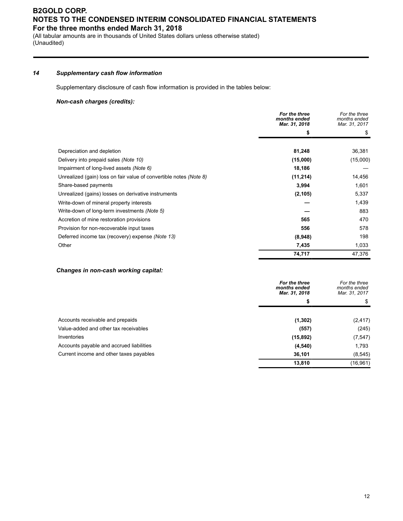(All tabular amounts are in thousands of United States dollars unless otherwise stated) (Unaudited)

#### *14 Supplementary cash flow information*

Supplementary disclosure of cash flow information is provided in the tables below:

#### *Non-cash charges (credits):*

|                                                                    | For the three<br>months ended<br>Mar. 31, 2018 | For the three<br>months ended<br>Mar. 31, 2017 |
|--------------------------------------------------------------------|------------------------------------------------|------------------------------------------------|
|                                                                    | \$                                             |                                                |
|                                                                    |                                                |                                                |
| Depreciation and depletion                                         | 81,248                                         | 36,381                                         |
| Delivery into prepaid sales (Note 10)                              | (15,000)                                       | (15,000)                                       |
| Impairment of long-lived assets (Note 6)                           | 18,186                                         |                                                |
| Unrealized (gain) loss on fair value of convertible notes (Note 8) | (11, 214)                                      | 14,456                                         |
| Share-based payments                                               | 3,994                                          | 1,601                                          |
| Unrealized (gains) losses on derivative instruments                | (2, 105)                                       | 5,337                                          |
| Write-down of mineral property interests                           |                                                | 1,439                                          |
| Write-down of long-term investments (Note 5)                       |                                                | 883                                            |
| Accretion of mine restoration provisions                           | 565                                            | 470                                            |
| Provision for non-recoverable input taxes                          | 556                                            | 578                                            |
| Deferred income tax (recovery) expense (Note 13)                   | (8,948)                                        | 198                                            |
| Other                                                              | 7,435                                          | 1,033                                          |
|                                                                    | 74,717                                         | 47,376                                         |

#### *Changes in non-cash working capital:*

|                                          | For the three<br>months ended<br>Mar. 31, 2018 | For the three<br>months ended<br>Mar. 31, 2017 |
|------------------------------------------|------------------------------------------------|------------------------------------------------|
|                                          | \$                                             | \$                                             |
| Accounts receivable and prepaids         | (1, 302)                                       | (2, 417)                                       |
| Value-added and other tax receivables    | (557)                                          | (245)                                          |
| Inventories                              | (15, 892)                                      | (7, 547)                                       |
| Accounts payable and accrued liabilities | (4,540)                                        | 1,793                                          |
| Current income and other taxes payables  | 36,101                                         | (8,545)                                        |
|                                          | 13,810                                         | (16, 961)                                      |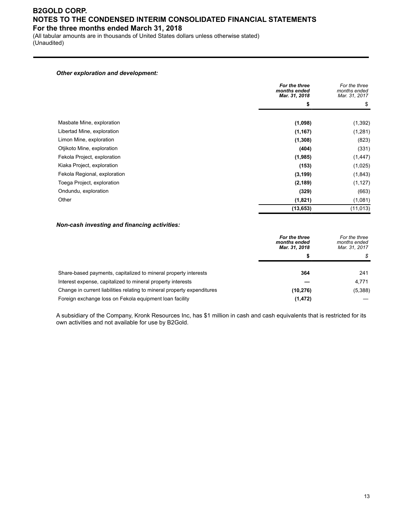(All tabular amounts are in thousands of United States dollars unless otherwise stated) (Unaudited)

#### *Other exploration and development:*

|                              | For the three<br>months ended<br>Mar. 31, 2018 | For the three<br>months ended<br>Mar. 31, 2017 |
|------------------------------|------------------------------------------------|------------------------------------------------|
|                              | \$                                             | \$                                             |
|                              |                                                |                                                |
| Masbate Mine, exploration    | (1,098)                                        | (1, 392)                                       |
| Libertad Mine, exploration   | (1, 167)                                       | (1,281)                                        |
| Limon Mine, exploration      | (1, 308)                                       | (823)                                          |
| Otjikoto Mine, exploration   | (404)                                          | (331)                                          |
| Fekola Project, exploration  | (1,985)                                        | (1, 447)                                       |
| Kiaka Project, exploration   | (153)                                          | (1,025)                                        |
| Fekola Regional, exploration | (3, 199)                                       | (1, 843)                                       |
| Toega Project, exploration   | (2, 189)                                       | (1, 127)                                       |
| Ondundu, exploration         | (329)                                          | (663)                                          |
| Other                        | (1,821)                                        | (1,081)                                        |
|                              | (13, 653)                                      | (11, 013)                                      |

#### *Non-cash investing and financing activities:*

|                                                                         | For the three<br>months ended<br>Mar. 31, 2018 | For the three<br>months ended<br>Mar. 31, 2017 |
|-------------------------------------------------------------------------|------------------------------------------------|------------------------------------------------|
|                                                                         | S                                              |                                                |
| Share-based payments, capitalized to mineral property interests         | 364                                            | 241                                            |
| Interest expense, capitalized to mineral property interests             |                                                | 4.771                                          |
| Change in current liabilities relating to mineral property expenditures | (10, 276)                                      | (5,388)                                        |
| Foreign exchange loss on Fekola equipment loan facility                 | (1, 472)                                       |                                                |

A subsidiary of the Company, Kronk Resources Inc, has \$1 million in cash and cash equivalents that is restricted for its own activities and not available for use by B2Gold.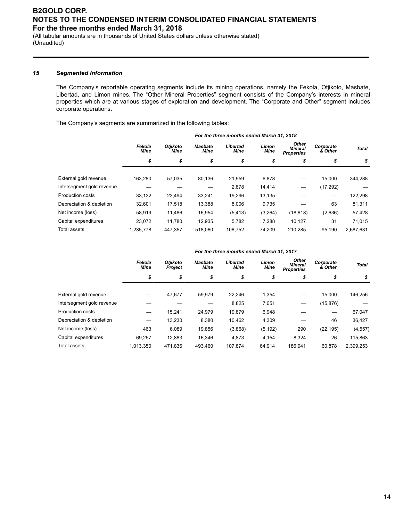(All tabular amounts are in thousands of United States dollars unless otherwise stated) (Unaudited)

#### *15 Segmented Information*

The Company's reportable operating segments include its mining operations, namely the Fekola, Otjikoto, Masbate, Libertad, and Limon mines. The "Other Mineral Properties" segment consists of the Company's interests in mineral properties which are at various stages of exploration and development. The "Corporate and Other" segment includes corporate operations.

The Company's segments are summarized in the following tables:

|                           | For the three months ended March 31, 2018 |                  |                        |                  |               |                                              |                      |              |  |
|---------------------------|-------------------------------------------|------------------|------------------------|------------------|---------------|----------------------------------------------|----------------------|--------------|--|
|                           | Fekola<br>Mine                            | Otjikoto<br>Mine | <b>Masbate</b><br>Mine | Libertad<br>Mine | Limon<br>Mine | <b>Other</b><br>Mineral<br><b>Properties</b> | Corporate<br>& Other | <b>Total</b> |  |
|                           | \$                                        | \$               | \$                     | \$               | \$            | \$                                           | \$                   | \$           |  |
|                           |                                           |                  |                        |                  |               |                                              |                      |              |  |
| External gold revenue     | 163.280                                   | 57.035           | 80.136                 | 21.959           | 6,878         |                                              | 15.000               | 344,288      |  |
| Intersegment gold revenue |                                           |                  |                        | 2,878            | 14.414        |                                              | (17, 292)            |              |  |
| <b>Production costs</b>   | 33.132                                    | 23,494           | 33,241                 | 19,296           | 13,135        |                                              |                      | 122,298      |  |
| Depreciation & depletion  | 32.601                                    | 17,518           | 13,388                 | 8,006            | 9,735         |                                              | 63                   | 81,311       |  |
| Net income (loss)         | 58.919                                    | 11.486           | 16,954                 | (5, 413)         | (3,264)       | (18, 618)                                    | (2,636)              | 57,428       |  |
| Capital expenditures      | 23.072                                    | 11,780           | 12,935                 | 5,782            | 7,288         | 10,127                                       | 31                   | 71,015       |  |
| Total assets              | 1.235.778                                 | 447.357          | 518.060                | 106.752          | 74.209        | 210.285                                      | 95.190               | 2,687,631    |  |

|                           | For the three months ended March 31, 2017 |                                   |                               |                         |                      |                                              |                      |              |  |
|---------------------------|-------------------------------------------|-----------------------------------|-------------------------------|-------------------------|----------------------|----------------------------------------------|----------------------|--------------|--|
|                           | Fekola<br><b>Mine</b>                     | <b>Otiikoto</b><br><b>Project</b> | <b>Masbate</b><br><b>Mine</b> | Libertad<br><b>Mine</b> | Limon<br><b>Mine</b> | <b>Other</b><br>Mineral<br><b>Properties</b> | Corporate<br>& Other | <b>Total</b> |  |
|                           | \$                                        | \$                                | \$                            | \$                      | \$                   | \$                                           | \$                   | \$           |  |
| External gold revenue     |                                           | 47,677                            | 59.979                        | 22,246                  | 1,354                |                                              | 15,000               | 146,256      |  |
| Intersegment gold revenue |                                           |                                   |                               | 8,825                   | 7,051                |                                              | (15, 876)            |              |  |
| Production costs          |                                           | 15.241                            | 24.979                        | 19,879                  | 6,948                |                                              | —                    | 67,047       |  |
| Depreciation & depletion  |                                           | 13,230                            | 8,380                         | 10,462                  | 4,309                |                                              | 46                   | 36,427       |  |
| Net income (loss)         | 463                                       | 6.089                             | 19,856                        | (3,868)                 | (5, 192)             | 290                                          | (22, 195)            | (4, 557)     |  |
| Capital expenditures      | 69.257                                    | 12.883                            | 16.346                        | 4,873                   | 4.154                | 8.324                                        | 26                   | 115,863      |  |
| Total assets              | 1.013.350                                 | 471.836                           | 493.460                       | 107.874                 | 64.914               | 186.941                                      | 60.878               | 2.399.253    |  |

#### *For the three months ended March 31, 2017*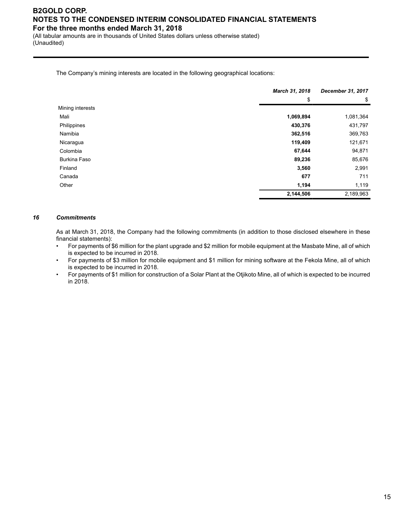(All tabular amounts are in thousands of United States dollars unless otherwise stated) (Unaudited)

The Company's mining interests are located in the following geographical locations:

|                  | March 31, 2018 | December 31, 2017 |  |
|------------------|----------------|-------------------|--|
|                  | \$             | \$                |  |
| Mining interests |                |                   |  |
| Mali             | 1,069,894      | 1,081,364         |  |
| Philippines      | 430,376        | 431,797           |  |
| Namibia          | 362,516        | 369,763           |  |
| Nicaragua        | 119,409        | 121,671           |  |
| Colombia         | 67,644         | 94,871            |  |
| Burkina Faso     | 89,236         | 85,676            |  |
| Finland          | 3,560          | 2,991             |  |
| Canada           | 677            | 711               |  |
| Other            | 1,194          | 1,119             |  |
|                  | 2,144,506      | 2,189,963         |  |

#### *16 Commitments*

As at March 31, 2018, the Company had the following commitments (in addition to those disclosed elsewhere in these financial statements):

- For payments of \$6 million for the plant upgrade and \$2 million for mobile equipment at the Masbate Mine, all of which is expected to be incurred in 2018.
- For payments of \$3 million for mobile equipment and \$1 million for mining software at the Fekola Mine, all of which is expected to be incurred in 2018.
- For payments of \$1 million for construction of a Solar Plant at the Otjikoto Mine, all of which is expected to be incurred in 2018.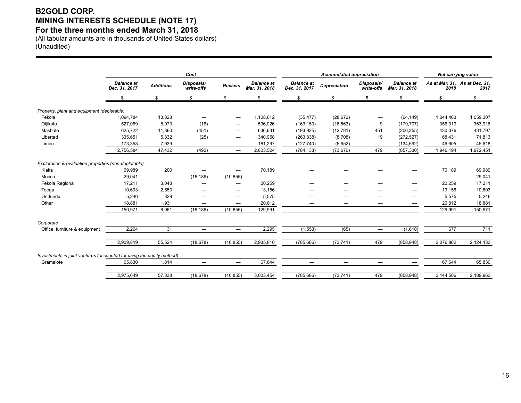# **B2GOLD CORP. MINING INTERESTS SCHEDULE (NOTE 17)**

### **For the three months ended March 31, 2018**

(All tabular amounts are in thousands of United States dollars) (Unaudited)

|                                                                       | Cost                               |                                 |                          |                   |                                    | <b>Accumulated depreciation</b>    |                     |                          |                                    | Net carrying value |                                       |
|-----------------------------------------------------------------------|------------------------------------|---------------------------------|--------------------------|-------------------|------------------------------------|------------------------------------|---------------------|--------------------------|------------------------------------|--------------------|---------------------------------------|
|                                                                       | <b>Balance</b> at<br>Dec. 31, 2017 | <b>Additions</b>                | Disposals/<br>write-offs | <b>Reclass</b>    | <b>Balance at</b><br>Mar. 31. 2018 | <b>Balance at</b><br>Dec. 31, 2017 | <b>Depreciation</b> | Disposals/<br>write-offs | <b>Balance at</b><br>Mar. 31, 2018 | 2018               | As at Mar. 31, As at Dec. 31,<br>2017 |
|                                                                       | \$                                 | \$.                             | \$                       | \$                | \$                                 | \$.                                | \$                  | \$                       | \$                                 | \$                 | \$                                    |
| Property, plant and equipment (depletable)                            |                                    |                                 |                          |                   |                                    |                                    |                     |                          |                                    |                    |                                       |
| Fekola                                                                | 1,094,784                          | 13,828                          | —                        |                   | 1,108,612                          | (35, 477)                          | (28, 672)           |                          | (64, 149)                          | 1,044,463          | 1,059,307                             |
| Otjikoto                                                              | 527,069                            | 8,973                           | (16)                     |                   | 536,026                            | (163, 153)                         | (16, 563)           | 9                        | (179, 707)                         | 356,319            | 363,916                               |
| Masbate                                                               | 625,722                            | 11,360                          | (451)                    | -                 | 636,631                            | (193, 925)                         | (12, 781)           | 451                      | (206, 255)                         | 430,376            | 431,797                               |
| Libertad                                                              | 335,651                            | 5,332                           | (25)                     | –                 | 340,958                            | (263, 838)                         | (8,708)             | 19                       | (272, 527)                         | 68,431             | 71,813                                |
| Limon                                                                 | 173,358                            | 7,939                           | $\overline{\phantom{0}}$ | $\hspace{0.05cm}$ | 181,297                            | (127, 740)                         | (6,952)             | $\hspace{0.05cm}$        | (134, 692)                         | 46,605             | 45,618                                |
|                                                                       | 2,756,584                          | 47,432                          | (492)                    | $\hspace{0.05cm}$ | 2,803,524                          | (784, 133)                         | (73, 676)           | 479                      | (857, 330)                         | 1,946,194          | 1,972,451                             |
| Exploration & evaluation properties (non-depletable)                  |                                    |                                 |                          |                   |                                    |                                    |                     |                          |                                    |                    |                                       |
| Kiaka                                                                 | 69,989                             | 200                             |                          |                   | 70,189                             |                                    |                     |                          |                                    | 70,189             | 69,989                                |
| Mocoa                                                                 | 29,041                             | $\hspace{0.1mm}-\hspace{0.1mm}$ | (18, 186)                | (10, 855)         |                                    |                                    |                     |                          |                                    |                    | 29,041                                |
| Fekola Regional                                                       | 17,211                             | 3,048                           |                          |                   | 20,259                             |                                    |                     |                          |                                    | 20,259             | 17,211                                |
| Toega                                                                 | 10,603                             | 2,553                           |                          | -                 | 13,156                             |                                    |                     |                          |                                    | 13,156             | 10,603                                |
| Ondundu                                                               | 5,246                              | 329                             | --                       |                   | 5,575                              | --                                 | –                   |                          |                                    | 5,575              | 5,246                                 |
| Other                                                                 | 18,881                             | 1,931                           |                          |                   | 20,812                             | —                                  |                     |                          | —                                  | 20,812             | 18,881                                |
|                                                                       | 150,971                            | 8,061                           | (18, 186)                | (10, 855)         | 129,991                            | $\overline{\phantom{0}}$           | —                   |                          | $\overline{\phantom{0}}$           | 129,991            | 150,971                               |
| Corporate                                                             |                                    |                                 |                          |                   |                                    |                                    |                     |                          |                                    |                    |                                       |
| Office, furniture & equipment                                         | 2,264                              | 31                              | —                        |                   | 2,295                              | (1, 553)                           | (65)                |                          | (1,618)                            | 677                | 711                                   |
|                                                                       | 2,909,819                          | 55,524                          | (18, 678)                | (10, 855)         | 2,935,810                          | (785, 686)                         | (73, 741)           | 479                      | (858, 948)                         | 2,076,862          | 2,124,133                             |
| Investments in joint ventures (accounted for using the equity method) |                                    |                                 |                          |                   |                                    |                                    |                     |                          |                                    |                    |                                       |
| Gramalote                                                             | 65,830                             | 1,814                           | —                        |                   | 67,644                             |                                    | —                   |                          |                                    | 67,644             | 65,830                                |
|                                                                       | 2.975.649                          | 57.338                          | (18, 678)                | (10, 855)         | 3,003,454                          | (785, 686)                         | (73, 741)           | 479                      | (858, 948)                         | 2,144,506          | 2,189,963                             |